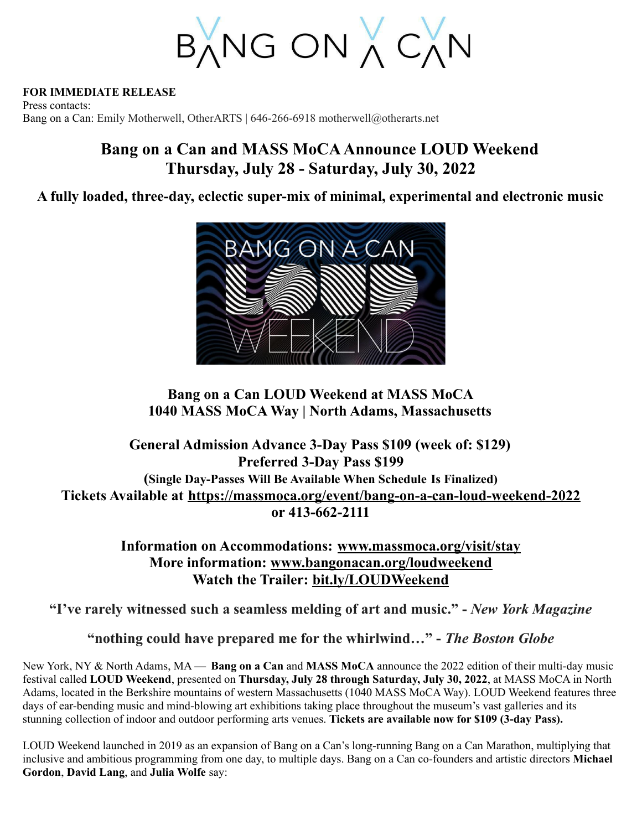BANG ON A CAN

#### **FOR IMMEDIATE RELEASE**

Press contacts: Bang on a Can: Emily Motherwell, OtherARTS | 646-266-6918 motherwell@otherarts.net

# **Bang on a Can and MASS MoCAAnnounce LOUD Weekend Thursday, July 28 - Saturday, July 30, 2022**

**A fully loaded, three-day, eclectic super-mix of minimal, experimental and electronic music**



## **Bang on a Can LOUD Weekend at MASS MoCA 1040 MASS MoCA Way | North Adams, Massachusetts**

# **General Admission Advance 3-Day Pass \$109 (week of: \$129) Preferred 3-Day Pass \$199 (Single Day-Passes Will Be Available When Schedule Is Finalized) Tickets Available at <https://massmoca.org/event/bang-on-a-can-loud-weekend-2022> or 413-662-2111**

### **Information on Accommodations: [www.massmoca.org/visit/stay](http://www.massmoca.org/visit/stay) More information: [www.bangonacan.org/loudweekend](http://www.bangonacan.org/loudweekend) Watch the Trailer: [bit.ly/LOUDWeekend](http://bit.ly/LOUDWeekend)**

**"I've rarely witnessed such a seamless melding of art and music." -** *New York Magazine*

**"nothing could have prepared me for the whirlwind…" -** *The Boston Globe*

New York, NY & North Adams, MA — **Bang on a Can** and **MASS MoCA** announce the 2022 edition of their multi-day music festival called **LOUD Weekend**, presented on **Thursday, July 28 through Saturday, July 30, 2022**, at MASS MoCA in North Adams, located in the Berkshire mountains of western Massachusetts (1040 MASS MoCA Way). LOUD Weekend features three days of ear-bending music and mind-blowing art exhibitions taking place throughout the museum's vast galleries and its stunning collection of indoor and outdoor performing arts venues. **Tickets are available now for \$109 (3-day Pass).**

LOUD Weekend launched in 2019 as an expansion of Bang on a Can's long-running Bang on a Can Marathon, multiplying that inclusive and ambitious programming from one day, to multiple days. Bang on a Can co-founders and artistic directors **Michael Gordon**, **David Lang**, and **Julia Wolfe** say: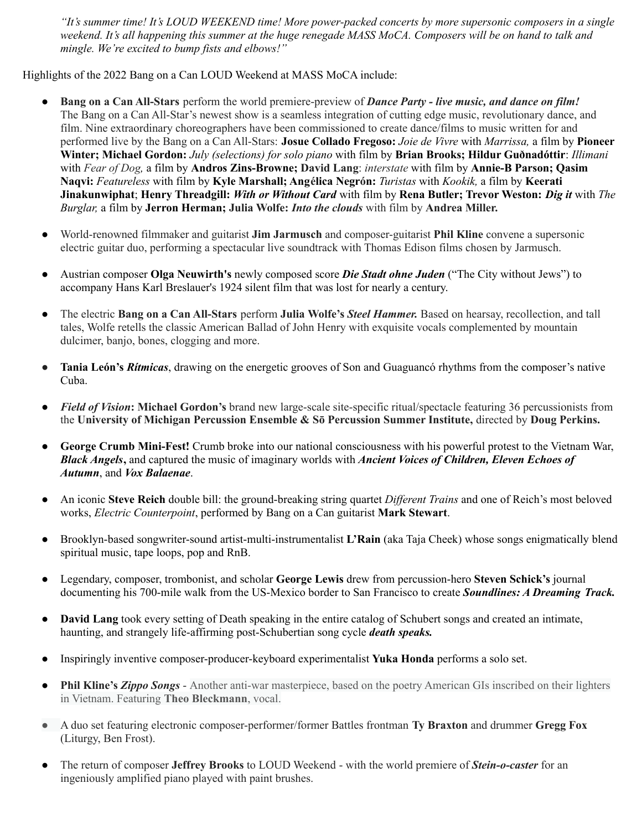"It's summer time! It's LOUD WEEKEND time! More power-packed concerts by more supersonic composers in a single weekend. It's all happening this summer at the huge renegade MASS MoCA. Composers will be on hand to talk and *mingle. We're excited to bump fists and elbows!"*

Highlights of the 2022 Bang on a Can LOUD Weekend at MASS MoCA include:

- **Bang on a Can All-Stars** perform the world premiere-preview of *Dance Party - live music, and dance on film!* The Bang on a Can All-Star's newest show is a seamless integration of cutting edge music, revolutionary dance, and film. Nine extraordinary choreographers have been commissioned to create dance/films to music written for and performed live by the Bang on a Can All-Stars: **Josue Collado Fregoso:** *Joie de Vivre* with *Marrissa,* a film by **Pioneer Winter; Michael Gordon:** *July (selections) for solo piano* with film by **Brian Brooks; Hildur Guðnadóttir**: *Illimani* with *Fear of Dog,* a film by **Andros Zins-Browne; David Lang**: *interstate* with film by **Annie-B Parson; Qasim Naqvi:** *Featureless* with film by **Kyle Marshall; Angélica Negrón:** *Turistas* with *Kookik,* a film by **Keerati Jinakunwiphat**; **Henry Threadgill:** *With or Without Card* with film by **Rena Butler; Trevor Weston:** *Dig it* with *The Burglar,* a film by **Jerron Herman; Julia Wolfe:** *Into the clouds* with film by **Andrea Miller.**
- World-renowned filmmaker and guitarist **Jim Jarmusch** and composer-guitarist **Phil Kline** convene a supersonic electric guitar duo, performing a spectacular live soundtrack with Thomas Edison films chosen by Jarmusch.
- Austrian composer **Olga Neuwirth's** newly composed score *Die Stadt ohne Juden* ("The City without Jews") to accompany Hans Karl Breslauer's 1924 silent film that was lost for nearly a century.
- The electric **Bang on a Can All-Stars** perform **Julia Wolfe's** *Steel Hammer.* Based on hearsay, recollection, and tall tales, Wolfe retells the classic American Ballad of John Henry with exquisite vocals complemented by mountain dulcimer, banjo, bones, clogging and more.
- **● Tania León's** *Rítmicas*, drawing on the energetic grooves of Son and Guaguancó rhythms from the composer's native Cuba.
- *Field of Vision***: Michael Gordon's** brand new large-scale site-specific ritual/spectacle featuring 36 percussionists from the **University of Michigan Percussion Ensemble & Sō Percussion Summer Institute,** directed by **Doug Perkins.**
- **George Crumb Mini-Fest!** Crumb broke into our national consciousness with his powerful protest to the Vietnam War, *Black Angels***,** and captured the music of imaginary worlds with *Ancient Voices of Children, Eleven Echoes of Autumn*, and *Vox Balaenae*.
- An iconic **Steve Reich** double bill: the ground-breaking string quartet *Different Trains* and one of Reich's most beloved works, *Electric Counterpoint*, performed by Bang on a Can guitarist **Mark Stewart**.
- Brooklyn-based songwriter-sound artist-multi-instrumentalist **L'Rain** (aka Taja Cheek) whose songs enigmatically blend spiritual music, tape loops, pop and RnB.
- Legendary, composer, trombonist, and scholar **George Lewis** drew from percussion-hero **Steven Schick's** journal documenting his 700-mile walk from the US-Mexico border to San Francisco to create *Soundlines: A Dreaming Track.*
- **David Lang** took every setting of Death speaking in the entire catalog of Schubert songs and created an intimate, haunting, and strangely life-affirming post-Schubertian song cycle *death speaks.*
- Inspiringly inventive composer-producer-keyboard experimentalist **Yuka Honda** performs a solo set.
- *●* **Phil Kline's** *Zippo Songs* Another anti-war masterpiece, based on the poetry American GIs inscribed on their lighters in Vietnam. Featuring **Theo Bleckmann**, vocal.
- A duo set featuring electronic composer-performer/former Battles frontman **Ty Braxton** and drummer **Gregg Fox** (Liturgy, Ben Frost).
- The return of composer **Jeffrey Brooks** to LOUD Weekend with the world premiere of *Stein-o-caster* for an ingeniously amplified piano played with paint brushes.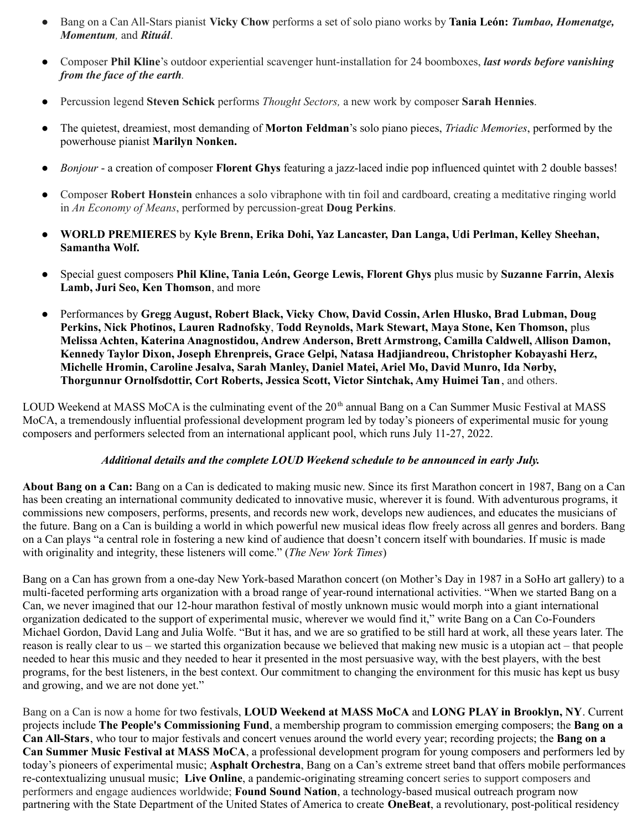- Bang on a Can All-Stars pianist **Vicky Chow** performs a set of solo piano works by **Tania León:** *Tumbao, Homenatge, Momentum,* and *Rituál*.
- Composer **Phil Kline**'s outdoor experiential scavenger hunt-installation for 24 boomboxes, *last words before vanishing from the face of the earth.*
- Percussion legend **Steven Schick** performs *Thought Sectors,* a new work by composer **Sarah Hennies**.
- The quietest, dreamiest, most demanding of **Morton Feldman**'s solo piano pieces, *Triadic Memories*, performed by the powerhouse pianist **Marilyn Nonken.**
- *Bonjour* a creation of composer **Florent Ghys** featuring a jazz-laced indie pop influenced quintet with 2 double basses!
- Composer **Robert Honstein** enhances a solo vibraphone with tin foil and cardboard, creating a meditative ringing world in *An Economy of Means*, performed by percussion-great **Doug Perkins**.
- **WORLD PREMIERES** by **Kyle Brenn, Erika Dohi, Yaz Lancaster, Dan Langa, Udi Perlman, Kelley Sheehan, Samantha Wolf.**
- Special guest composers **Phil Kline, Tania León, George Lewis, Florent Ghys** plus music by **Suzanne Farrin, Alexis Lamb, Juri Seo, Ken Thomson**, and more
- *●* Performances by **Gregg August, Robert Black, Vicky Chow, David Cossin, Arlen Hlusko, Brad Lubman, Doug Perkins, Nick Photinos, Lauren Radnofsky**, **Todd Reynolds, Mark Stewart, Maya Stone, Ken Thomson,** plus **Melissa Achten, Katerina Anagnostidou, Andrew Anderson, Brett Armstrong, Camilla Caldwell, Allison Damon, Kennedy Taylor Dixon, Joseph Ehrenpreis, Grace Gelpi, Natasa Hadjiandreou, Christopher Kobayashi Herz, Michelle Hromin, Caroline Jesalva, Sarah Manley, Daniel Matei, Ariel Mo, David Munro, Ida Nørby, Thorgunnur Ornolfsdottir, Cort Roberts, Jessica Scott, Victor Sintchak, Amy Huimei Tan**, and others.

LOUD Weekend at MASS MoCA is the culminating event of the 20<sup>th</sup> annual Bang on a Can Summer Music Festival at MASS MoCA, a tremendously influential professional development program led by today's pioneers of experimental music for young composers and performers selected from an international applicant pool, which runs July 11-27, 2022.

#### *Additional details and the complete LOUD Weekend schedule to be announced in early July.*

**About Bang on a Can:** Bang on a Can is dedicated to making music new. Since its first Marathon concert in 1987, Bang on a Can has been creating an international community dedicated to innovative music, wherever it is found. With adventurous programs, it commissions new composers, performs, presents, and records new work, develops new audiences, and educates the musicians of the future. Bang on a Can is building a world in which powerful new musical ideas flow freely across all genres and borders. Bang on a Can plays "a central role in fostering a new kind of audience that doesn't concern itself with boundaries. If music is made with originality and integrity, these listeners will come." (*The New York Times*)

Bang on a Can has grown from a one-day New York-based Marathon concert (on Mother's Day in 1987 in a SoHo art gallery) to a multi-faceted performing arts organization with a broad range of year-round international activities. "When we started Bang on a Can, we never imagined that our 12-hour marathon festival of mostly unknown music would morph into a giant international organization dedicated to the support of experimental music, wherever we would find it," write Bang on a Can Co-Founders Michael Gordon, David Lang and Julia Wolfe. "But it has, and we are so gratified to be still hard at work, all these years later. The reason is really clear to us – we started this organization because we believed that making new music is a utopian act – that people needed to hear this music and they needed to hear it presented in the most persuasive way, with the best players, with the best programs, for the best listeners, in the best context. Our commitment to changing the environment for this music has kept us busy and growing, and we are not done yet."

Bang on a Can is now a home for two festivals, **LOUD Weekend at MASS MoCA** and **LONG PLAY in Brooklyn, NY**. Current projects include **The People's Commissioning Fund**, a membership program to commission emerging composers; the **Bang on a Can All-Stars**, who tour to major festivals and concert venues around the world every year; recording projects; the **Bang on a Can Summer Music Festival at MASS MoCA**, a professional development program for young composers and performers led by today's pioneers of experimental music; **Asphalt Orchestra**, Bang on a Can's extreme street band that offers mobile performances re-contextualizing unusual music; **Live [Online](http://live.bangonacan.org/)**, a pandemic-originating streaming concert series to support composers and performers and engage audiences worldwide; **Found Sound Nation**, a technology-based musical outreach program now partnering with the State Department of the United States of America to create **OneBeat**, a revolutionary, post-political residency